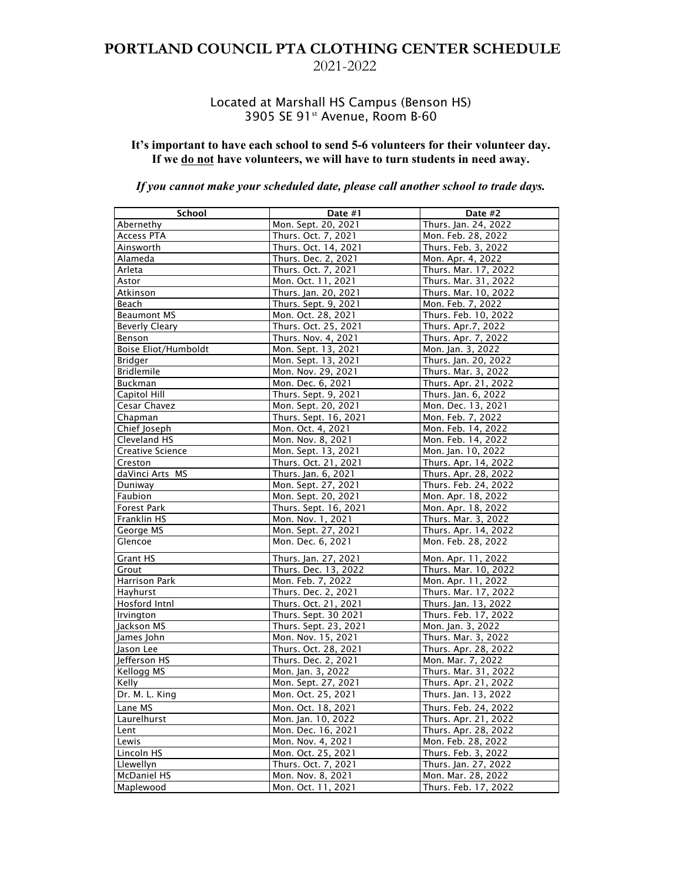## **PORTLAND COUNCIL PTA CLOTHING CENTER SCHEDULE**  2021-2022

### Located at Marshall HS Campus (Benson HS) 3905 SE 91<sup>st</sup> Avenue, Room B-60

#### **It's important to have each school to send 5-6 volunteers for their volunteer day. If we do not have volunteers, we will have to turn students in need away.**

### *If you cannot make your scheduled date, please call another school to trade days.*

| School                      | Date #1               | Date #2              |
|-----------------------------|-----------------------|----------------------|
| Abernethy                   | Mon. Sept. 20, 2021   | Thurs. Jan. 24, 2022 |
| <b>Access PTA</b>           | Thurs. Oct. 7, 2021   | Mon. Feb. 28, 2022   |
| Ainsworth                   | Thurs. Oct. 14, 2021  | Thurs. Feb. 3, 2022  |
| Alameda                     | Thurs. Dec. 2, 2021   | Mon. Apr. 4, 2022    |
| Arleta                      | Thurs. Oct. 7, 2021   | Thurs. Mar. 17, 2022 |
| Astor                       | Mon. Oct. 11, 2021    | Thurs. Mar. 31, 2022 |
| Atkinson                    | Thurs. Jan. 20, 2021  | Thurs. Mar. 10, 2022 |
| Beach                       | Thurs. Sept. 9, 2021  | Mon. Feb. 7, 2022    |
| <b>Beaumont MS</b>          | Mon. Oct. 28, 2021    | Thurs. Feb. 10, 2022 |
| Beverly Cleary              | Thurs. Oct. 25, 2021  | Thurs. Apr.7, 2022   |
| Benson                      | Thurs. Nov. 4, 2021   | Thurs. Apr. 7, 2022  |
| <b>Boise Eliot/Humboldt</b> | Mon. Sept. 13, 2021   | Mon. Jan. 3, 2022    |
| Bridger                     | Mon. Sept. 13, 2021   | Thurs. Jan. 20, 2022 |
| <b>Bridlemile</b>           | Mon. Nov. 29, 2021    | Thurs. Mar. 3, 2022  |
| Buckman                     | Mon. Dec. 6, 2021     | Thurs. Apr. 21, 2022 |
| Capitol Hill                | Thurs. Sept. 9, 2021  | Thurs. Jan. 6, 2022  |
| Cesar Chavez                | Mon. Sept. 20, 2021   | Mon. Dec. 13, 2021   |
| Chapman                     | Thurs. Sept. 16, 2021 | Mon. Feb. 7, 2022    |
| Chief Joseph                | Mon. Oct. 4, 2021     | Mon. Feb. 14, 2022   |
| Cleveland HS                | Mon. Nov. 8, 2021     | Mon. Feb. 14, 2022   |
| <b>Creative Science</b>     | Mon. Sept. 13, 2021   | Mon. Jan. 10, 2022   |
| Creston                     | Thurs. Oct. 21, 2021  | Thurs. Apr. 14, 2022 |
| daVinci Arts MS             | Thurs. Jan. 6, 2021   | Thurs. Apr. 28, 2022 |
| Duniway                     | Mon. Sept. 27, 2021   | Thurs. Feb. 24, 2022 |
| Faubion                     | Mon. Sept. 20, 2021   | Mon. Apr. 18, 2022   |
| <b>Forest Park</b>          | Thurs. Sept. 16, 2021 | Mon. Apr. 18, 2022   |
| Franklin HS                 | Mon. Nov. 1, 2021     | Thurs. Mar. 3, 2022  |
| George MS                   | Mon. Sept. 27, 2021   | Thurs. Apr. 14, 2022 |
| Glencoe                     | Mon. Dec. 6, 2021     | Mon. Feb. 28, 2022   |
| <b>Grant HS</b>             | Thurs. Jan. 27, 2021  | Mon. Apr. 11, 2022   |
| Grout                       | Thurs. Dec. 13, 2022  | Thurs. Mar. 10, 2022 |
| Harrison Park               | Mon. Feb. 7, 2022     | Mon. Apr. 11, 2022   |
| Hayhurst                    | Thurs. Dec. 2, 2021   | Thurs. Mar. 17, 2022 |
| Hosford Intnl               | Thurs. Oct. 21, 2021  | Thurs. Jan. 13, 2022 |
| Irvington                   | Thurs. Sept. 30 2021  | Thurs. Feb. 17, 2022 |
| Jackson MS                  | Thurs. Sept. 23, 2021 | Mon. Jan. 3, 2022    |
| James John                  | Mon. Nov. 15, 2021    | Thurs. Mar. 3, 2022  |
| Jason Lee                   | Thurs. Oct. 28, 2021  | Thurs. Apr. 28, 2022 |
| Jefferson HS                | Thurs. Dec. 2, 2021   | Mon. Mar. 7, 2022    |
| Kellogg MS                  | Mon. Jan. 3, 2022     | Thurs. Mar. 31, 2022 |
| Kellv                       | Mon. Sept. 27, 2021   | Thurs. Apr. 21, 2022 |
| Dr. M. L. King              | Mon. Oct. 25, 2021    | Thurs. Jan. 13, 2022 |
| Lane MS                     | Mon. Oct. 18, 2021    | Thurs. Feb. 24, 2022 |
| Laurelhurst                 | Mon. Jan. 10, 2022    | Thurs. Apr. 21, 2022 |
| Lent                        | Mon. Dec. 16, 2021    | Thurs. Apr. 28, 2022 |
| Lewis                       | Mon. Nov. 4, 2021     | Mon. Feb. 28, 2022   |
| Lincoln HS                  | Mon. Oct. 25, 2021    | Thurs. Feb. 3, 2022  |
| Llewellyn                   | Thurs. Oct. 7, 2021   | Thurs. Jan. 27, 2022 |
| <b>McDaniel HS</b>          | Mon. Nov. 8, 2021     | Mon. Mar. 28, 2022   |
| Maplewood                   | Mon. Oct. 11, 2021    | Thurs. Feb. 17, 2022 |